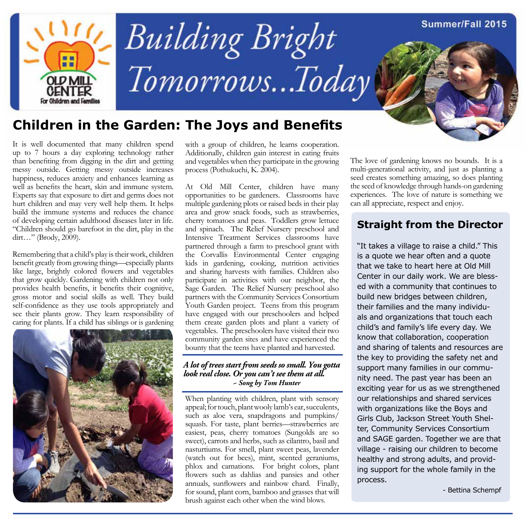

## **Children in the Garden: The Joys and Benefits**

It is well documented that many children spend up to 7 hours a day exploring technology rather than benefiting from digging in the dirt and getting messy outside. Getting messy outside increases happiness, reduces anxiety and enhances learning as well as benefits the heart, skin and immune system. Experts say that exposure to dirt and germs does not hurt children and may very well help them. It helps build the immune systems and reduces the chance of developing certain adulthood diseases later in life. "Children should go barefoot in the dirt, play in the dirt…" (Brody, 2009).

Remembering that a child's play is their work, children benefit greatly from growing things—especially plants like large, brightly colored flowers and vegetables that grow quickly. Gardening with children not only provides health benefits, it benefits their cognitive, gross motor and social skills as well. They build self-confidence as they use tools appropriately and see their plants grow. They learn responsibility of caring for plants. If a child has siblings or is gardening



with a group of children, he learns cooperation. Additionally, children gain interest in eating fruits and vegetables when they participate in the growing process (Pothukuchi, K. 2004).

At Old Mill Center, children have many opportunities to be gardeners. Classrooms have multiple gardening plots or raised beds in their play area and grow snack foods, such as strawberries, cherry tomatoes and peas. Toddlers grow lettuce and spinach. The Relief Nursery preschool and Intensive Treatment Services classrooms have partnered through a farm to preschool grant with the Corvallis Environmental Center engaging kids in gardening, cooking, nutrition activities and sharing harvests with families. Children also participate in activities with our neighbor, the Sage Garden. The Relief Nursery preschool also partners with the Community Services Consortium Youth Garden project. Teens from this program have engaged with our preschoolers and helped them create garden plots and plant a variety of vegetables. The preschoolers have visited their two community garden sites and have experienced the bounty that the teens have planted and harvested.

#### *A lot of trees start from seeds so small. You gotta look real close. Or you can't see them at all. ~ Song by Tom Hunter*

When planting with children, plant with sensory appeal; for touch, plant wooly lamb's ear, succulents, such as aloe vera, snapdragons and pumpkins/ squash. For taste, plant berries—strawberries are easiest, peas, cherry tomatoes (Sungolds are so sweet), carrots and herbs, such as cilantro, basil and nasturtiums. For smell, plant sweet peas, lavender (watch out for bees), mint, scented geraniums, phlox and carnations. For bright colors, plant flowers such as dahlias and pansies and other annuals, sunflowers and rainbow chard. Finally, for sound, plant corn, bamboo and grasses that will brush against each other when the wind blows.

The love of gardening knows no bounds. It is a multi-generational activity, and just as planting a seed creates something amazing, so does planting the seed of knowledge through hands-on gardening experiences. The love of nature is something we can all appreciate, respect and enjoy.

#### **Straight from the Director**

"It takes a village to raise a child." This is a quote we hear often and a quote that we take to heart here at Old Mill Center in our daily work. We are blessed with a community that continues to build new bridges between children, their families and the many individuals and organizations that touch each child's and family's life every day. We know that collaboration, cooperation and sharing of talents and resources are the key to providing the safety net and support many families in our community need. The past year has been an exciting year for us as we strengthened our relationships and shared services with organizations like the Boys and Girls Club, Jackson Street Youth Shelter, Community Services Consortium and SAGE garden. Together we are that village - raising our children to become healthy and strong adults, and providing support for the whole family in the process.

- Bettina Schempf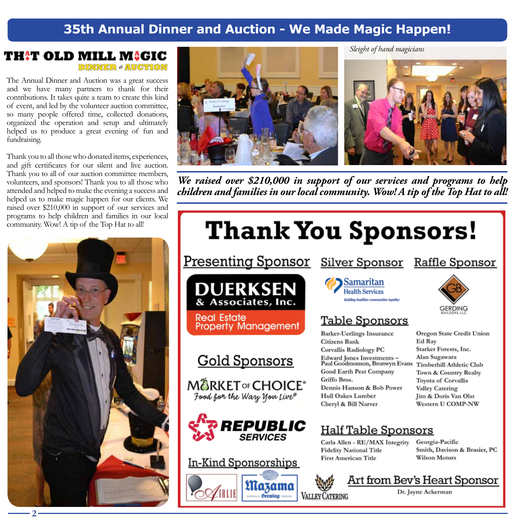## 35th Annual Dinner and Auction - We Made Magic Happen!

#### TH!T OLD MILL M!GIC **DINNER + AUCTION**

The Annual Dinner and Auction was a great success and we have many partners to thank for their contributions. It takes quite a team to create this kind of event, and led by the volunteer auction committee, so many people offered time, collected donations, organized the operation and setup and ultimately helped us to produce a great evening of fun and fundraising.

Thank you to all those who donated items, experiences, and gift certificates for our silent and live auction. Thank you to all of our auction committee members, volunteers, and sponsors! Thank you to all those who attended and helped to make the evening a success and helped us to make magic happen for our clients. We raised over \$210,000 in support of our services and programs to help children and families in our local community. Wow! A tip of the Top Hat to all!





We raised over \$210,000 in support of our services and programs to help children and families in our local community. Wow! A tip of the Top Hat to all!

# **Thank You Sponsors!**

**Presenting Sponsor** 



**Real Estate Property Management** 

## **Gold Sponsors**

**MARKET OF CHOICE®** Food for the Wary You Live®



#### In-Kind Sponsorships

Mazama

**Brewing** 



### **Table Sponsors**

**Silver Sponsor** 

**Barker-Uerlings Insurance** Citizens Bank **Corvallis Radiology PC** Edward Jones Investments - Alan Sugawara<br>Paul Goodmonson, Bronwyn Evans Timberhill Athletic Club Good Earth Pest Company Griffo Bros. Dennis Hanson & Bob Power Hull Oakes Lumber Cheryl & Bill Narver

## **Half Table Sponsors**

Carla Allen - RE/MAX Integrity **Fidelity National Title First American Title** 

Georgia-Pacific Smith, Davison & Brasier, PC **Wilson Motors** 







Oregon State Credit Union Ed Ray Starker Forests, Inc. Town & Country Realty Toyota of Corvallis Valley Catering Jim & Doris Van Olst Western U COMP-NW

 $2<sup>1</sup>$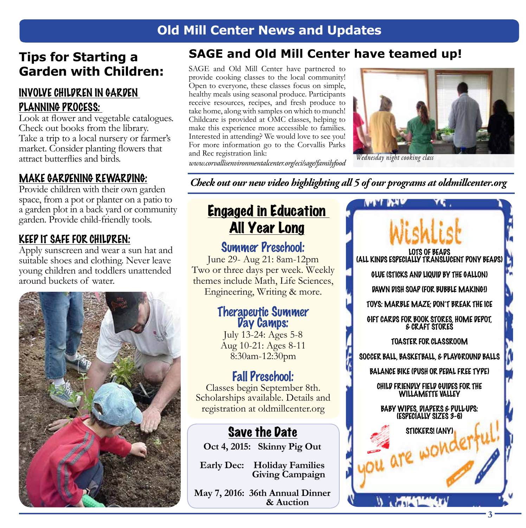## **Old Mill Center News and Updates**

## **Tips for Starting a Garden with Children:**

#### INVOLVE CHILDREN IN GARDEN PLANNING PROCESS:

Look at flower and vegetable catalogues. Check out books from the library. Take a trip to a local nursery or farmer's market. Consider planting flowers that attract butterflies and birds.

#### MAKE GARDENING REWARDING:

Provide children with their own garden space, from a pot or planter on a patio to a garden plot in a back yard or community garden. Provide child-friendly tools.

#### KEEP IT SAFE FOR CHILDREN:

Apply sunscreen and wear a sun hat and suitable shoes and clothing. Never leave young children and toddlers unattended around buckets of water.



### **SAGE and Old Mill Center have teamed up!**

SAGE and Old Mill Center have partnered to provide cooking classes to the local community! Open to everyone, these classes focus on simple, healthy meals using seasonal produce. Participants receive resources, recipes, and fresh produce to take home, along with samples on which to munch! Childcare is provided at OMC classes, helping to make this experience more accessible to families. Interested in attending? We would love to see you! For more information go to the Corvallis Parks and Rec registration link:



*www.corvallisenvironmentalcenter.org/eci/sage/familyfood Wednesday night cooking class* 

*Check out our new video highlighting all 5 of our programs at oldmillcenter.org*

## Engaged in Education All Year Long

Summer Preschool: June 29- Aug 21: 8am-12pm Two or three days per week. Weekly themes include Math, Life Sciences, Engineering, Writing & more.

# **Therapeutic Summer<br>
<b>Day Camps:**<br>
July 13-24: Ages 5-8

Aug 10-21: Ages 8-11 8:30am-12:30pm

### Fall Preschool:

Classes begin September 8th. Scholarships available. Details and registration at oldmillcenter.org

## Save the Date

**Oct 4, 2015: Skinny Pig Out**

**Early Dec: Holiday Families Giving Campaign**

**May 7, 2016: 36th Annual Dinner & Auction**